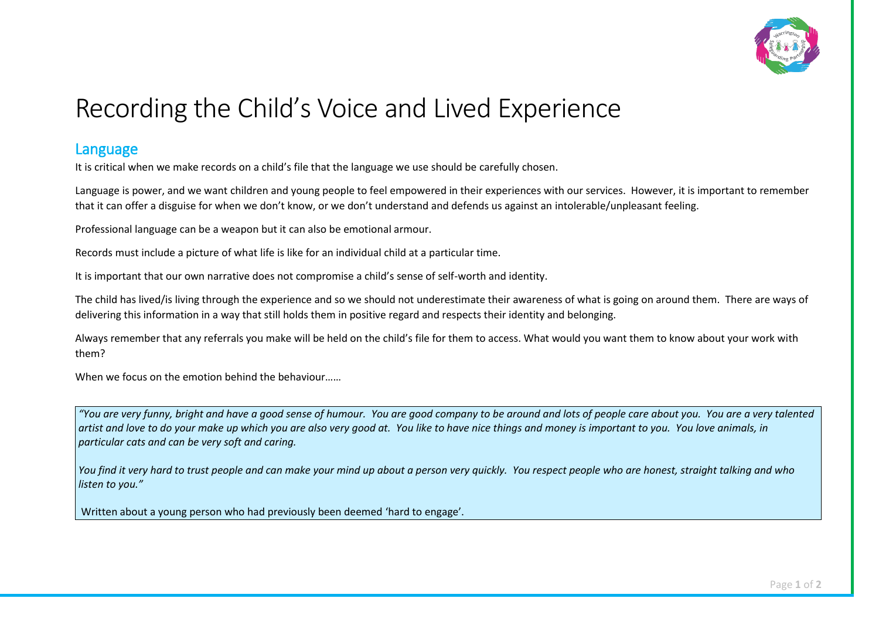

## Recording the Child's Voice and Lived Experience

## Language

It is critical when we make records on a child's file that the language we use should be carefully chosen.

 Language is power, and we want children and young people to feel empowered in their experiences with our services. However, it is important to remember that it can offer a disguise for when we don't know, or we don't understand and defends us against an intolerable/unpleasant feeling.

Professional language can be a weapon but it can also be emotional armour.

Records must include a picture of what life is like for an individual child at a particular time.

It is important that our own narrative does not compromise a child's sense of self-worth and identity.

The child has lived/is living through the experience and so we should not underestimate their awareness of what is going on around them. There are ways of delivering this information in a way that still holds them in positive regard and respects their identity and belonging.

 Always remember that any referrals you make will be held on the child's file for them to access. What would you want them to know about your work with them?

When we focus on the emotion behind the behaviour……

 *artist and love to do your make up which you are also very good at. You like to have nice things and money is important to you. You love animals, in "You are very funny, bright and have a good sense of humour. You are good company to be around and lots of people care about you. You are a very talented particular cats and can be very soft and caring.* 

*You find it very hard to trust people and can make your mind up about a person very quickly. You respect people who are honest, straight talking and who listen to you."*

Written about a young person who had previously been deemed 'hard to engage'.